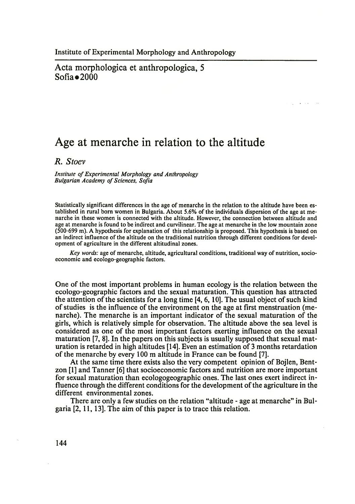### Acta morphologica et anthropologica, 5  $Sofia \bullet 2000$

# **Age at menarche in relation to the altitude**

*R. Stoev*

*Institute of Experimental Morphology and Anthropology Bulgarian Academy of Sciences, Sofia*

Statistically significant differences in the age of menarche in the relation to the altitude have been established in rural born women in Bulgaria. About 5.6% of the individuals dispersion of the age at menarche in these women is connected with the altitude. However, the connection between altitude and age at menarche is found to be indirect and curvilinear. The age at menarche in the low mountain zone (500-699 m). A hypothesis for explanation of this relationship is proposed. This hypothesis is based on an indirect influence of the altitude on the traditional nutrition through different conditions for development of agriculture in the different altitudinal zones.

*Key words:* age of menarche, altitude, agricultural conditions, traditional way of nutrition, socioeconomic and ecologo-geographic factors.

One of the most important problems in human ecology is the relation between the ecologo-geographic factors and the sexual maturation. This question has attracted the attention of the scientists for a long time [4, 6,10]. The usual object of such kind of studies is the influence of the environment on the age at first menstruation (menarche). The menarche is an important indicator of the sexual maturation of the girls, which is relatively simple for observation. The altitude above the sea level is considered as one of the most important factors exerting influence on the sexual maturation [7, 8]. In the papers on this subjects is usually supposed that sexual maturation is retarded in high altitudes [14]. Even an estimation of 3 months retardation of the menarche by every 100 m altitude in France can be found [7].

At the same time there exists also the very competent opinion of Bojlen, Bentzon [1] and Tanner [6] that socioeconomic factors and nutrition are more important for sexual maturation than ecologogeographic ones. The last ones exert indirect influence through the different conditions for the development of the agriculture in the different environmental zones.

There are only a few studies on the relation "altitude - age at menarche" in Bulgaria [2,11,13]. The aim of this paper is to trace this relation.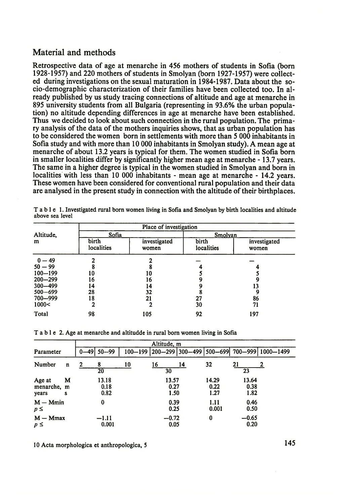## Material and methods

Retrospective data of age at menarche in 456 mothers of students in Sofia (born 1928-1957) and 220 mothers of students in Smolyan (born 1927-1957) were collected during investigations on the sexual maturation in 1984-1987. Data about the socio-demographic characterization of their families have been collected too. In already published by us study tracing connections of altitude and age at menarche in 895 university students from all Bulgaria (representing in 93.6% the urban population) no altitude depending differences in age at menarche have been established. Thus we decided to look about such connection in the rural population. The primary analysis of the data of the mothers inquiries shows, that as urban population has to be considered the women born in settlements with more than 5 000 inhabitants in Sofia study and with more than 10 000 inhabitants in Smolyan study). A mean age at menarche of about 13.2 years is typical for them. The women studied in Sofia born in smaller localities differ by significantly higher mean age at menarche -13.7 years. The same in a higher degree is typical in the women studied in Smolyan and born in localities with less than 10 000 inhabitants - mean age at menarche - 14.2 years. These women have been considered for conventional rural population and their data are analysed in the present study in connection with the altitude of their birthplaces.

|                | Place of investigation |                       |                     |                       |  |  |  |  |  |
|----------------|------------------------|-----------------------|---------------------|-----------------------|--|--|--|--|--|
| Altitude.<br>m | Sofia                  |                       | Smolyan             |                       |  |  |  |  |  |
|                | birth<br>localities    | investigated<br>women | birth<br>localities | investigated<br>women |  |  |  |  |  |
| $0 - 49$       |                        |                       |                     |                       |  |  |  |  |  |
| $50 - 99$      |                        |                       |                     |                       |  |  |  |  |  |
| $100 - 199$    | 10                     |                       |                     |                       |  |  |  |  |  |
| $200 - 299$    | 16                     | 16                    |                     |                       |  |  |  |  |  |
| $300 - 499$    | 14                     | Ι4                    |                     | 13                    |  |  |  |  |  |
| $500 - 699$    | 28                     | 32                    |                     | 9                     |  |  |  |  |  |
| 700 - 999      | 18                     | 21                    | 27                  | 86                    |  |  |  |  |  |
| 1000<          |                        |                       | 30                  | 71                    |  |  |  |  |  |
| Total          | 98                     | 105                   | 92                  | 197                   |  |  |  |  |  |

Table 1. Investigated rural born women living in Sofia and Smolyan by birth localities and altitude above sea level

T able 2. Age at menarche and altitudde in rural born women living in Sofia

|                                |        | Altitude, m |                       |    |    |                       |    |                       |                       |                                                   |
|--------------------------------|--------|-------------|-----------------------|----|----|-----------------------|----|-----------------------|-----------------------|---------------------------------------------------|
| Parameter                      |        |             | $0 - 49$ 50 $-99$     |    |    |                       |    |                       |                       | 100-199 200-299 300-499 500-699 700-999 1000-1499 |
| Number                         | n      | 2           | 8<br>$\overline{20}$  | 10 | 16 | 30                    | 14 | 32                    | 21<br>23              |                                                   |
| Age at<br>menarche, m<br>years | M<br>s |             | 13.18<br>0.18<br>0.82 |    |    | 13.57<br>0.27<br>1.50 |    | 14.29<br>0.22<br>1.27 | 13.64<br>0.38<br>1.82 |                                                   |
| $M - Mmin$<br>$p \leq$         |        |             | $\bf{0}$              |    |    | 0.39<br>0.25          |    | 1.11<br>0.001         | 0.46<br>0.50          |                                                   |
| $M - Mmax$<br>$p \leq$         |        |             | $-1.11$<br>0.001      |    |    | $-0.72$<br>0.05       |    | 0                     | $-0.65$<br>0.20       |                                                   |

10 Acta morphologica et anthropologica, 5 145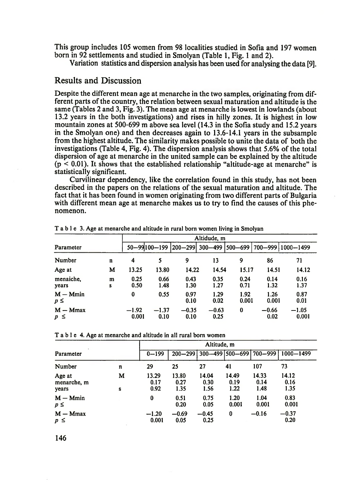This group includes 105 women from 98 localities studied in Sofia and 197 women born in 92 settlements and studied in Smolyan (Table 1, Fig. 1 and 2).

Variation statistics and dispersion analysis has been used for analysing the data [9].

#### Results and Discussion

Despite the different mean age at menarche in the two samples, originating from different parts of the country, the relation between sexual maturation and altitude is the same (Tables 2 and 3, Fig. 3). The mean age at menarche is lowest in lowlands (about 13.2 years in the both investigations) and rises in hilly zones. It is highest in low mountain zones at 500-699 m above sea level (14.3 in the Sofia study and 15.2 years in the Smolyan one) and then decreases again to 13.6-14.1 years in the subsample from the highest altitude. The similarity makes possible to unite the data of both the investigations (Table 4, Fig. 4). The dispersion analysis shows that 5.6% of the total dispersion of age at menarche in the united sample can be explained by the altitude  $(p < 0.01)$ . It shows that the established relationship "altitude-age at menarche" is statistically significant.

Curvilinear dependency, like the correlation found in this study, has not been described in the papers on the relations of the sexual maturation and altitude. The fact that it has been found in women originating from two different parts of Bulgaria with different mean age at menarche makes us to try to find the causes of this phenomenon.

|                        |        | Altidude, m      |                 |                 |                              |               |                 |                   |  |
|------------------------|--------|------------------|-----------------|-----------------|------------------------------|---------------|-----------------|-------------------|--|
| Parameter              |        |                  |                 |                 | 50-99100-199 200-299 300-499 | $ 500 - 699 $ |                 | 700-999 1000-1499 |  |
| Number                 | n      | 4                | 5               | 9               | 13                           | 9             | 86              | 71                |  |
| Age at                 | M      | 13.25            | 13.80           | 14.22           | 14.54                        | 15.17         | 14.51           | 14.12             |  |
| menaiche.<br>years     | m<br>S | 0.25<br>0.50     | 0.66<br>1.48    | 0.43<br>1.30    | 0.35<br>1.27                 | 0.24<br>0.71  | 0.14<br>1.32    | 0.16<br>1.37      |  |
| $M - Mmin$<br>$p \leq$ |        | 0                | 0.55            | 0.97<br>0.10    | 1.29<br>0.02                 | 1.92<br>0.001 | 1.26<br>0.001   | 0.87<br>0.01      |  |
| $M - Mmax$<br>$p \leq$ |        | $-1.92$<br>0.001 | $-1.37$<br>0.10 | $-0.35$<br>0.10 | $-0.63$<br>0.25              | $\bf{0}$      | $-0.66$<br>0.02 | $-1.05$<br>0.001  |  |

T a b l e 3. Age at menarche and altitude in rural born women living in Smolyan

T a b l e 4. Age at menarche and altitude in all rural born women

|                                | Altitude, m |                       |                       |                             |                       |                       |                       |  |
|--------------------------------|-------------|-----------------------|-----------------------|-----------------------------|-----------------------|-----------------------|-----------------------|--|
| Parameter                      | $0 - 199$   | $200 - 299$           |                       | 300–499   500–699   700–999 |                       | 1000-1499             |                       |  |
| Number                         | n           | 29                    | 25                    | 27                          | 41                    | 107                   | 73                    |  |
| Age at<br>menarche, m<br>years | м<br>S      | 13.29<br>0.17<br>0.92 | 13.80<br>0.27<br>1.35 | 14.04<br>0.30<br>1.56       | 14.49<br>0.19<br>1.22 | 14.33<br>0.14<br>1.48 | 14.12<br>0.16<br>1.35 |  |
| $M - Mmin$<br>$p \leq$         |             | $\bf{0}$              | 0.51<br>0.20          | 0.75<br>0.05                | 1.20<br>0.001         | 1.04<br>0.001         | 0.83<br>0.001         |  |
| $M - Mmax$<br>$p \leq$         |             | $-1.20$<br>0.001      | $-0.69$<br>0.05       | $-0.45$<br>0.25             | 0                     | $-0.16$               | $-0.37$<br>0.20       |  |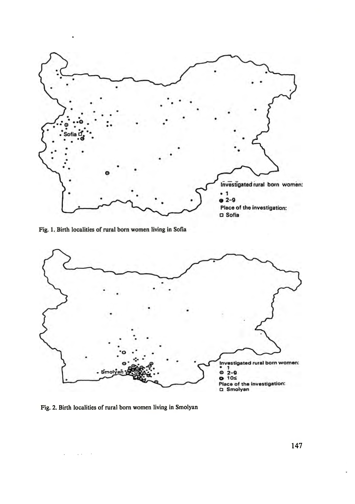

Fig. 1. Birth localities of rural born women living in Sofia



Fig. 2. Birth localities of rural born women living in Smolyan

 $\mathcal{A}^{\mathcal{A}}$  , and  $\mathcal{A}^{\mathcal{A}}$  , and  $\mathcal{A}^{\mathcal{A}}$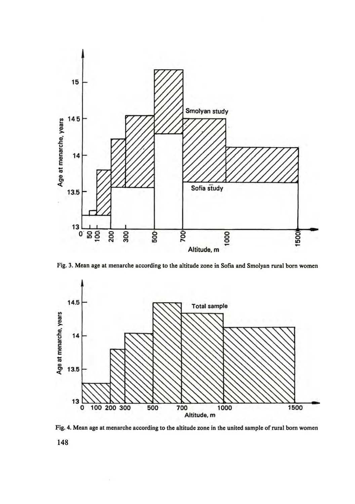

Fig. 3. Mean age at menarche according to the altitude zone in Sofia and Smolyan rural born women





148